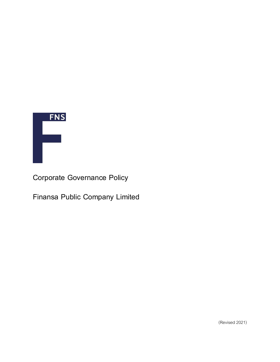

**Corporate Governance Policy**

**Finansa Public Company Limited**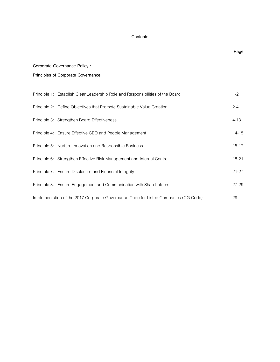# **Contents**

# **Page Corporate Governance Policy :- Principles of Corporate Governance**  Principle 1: Establish Clear Leadership Role and Responsibilities of the Board 1-2 Principle 2: Define Objectives that Promote Sustainable Value Creation 2-4 Principle 3: Strengthen Board Effectiveness 4-13 Principle 4: Ensure Effective CEO and People Management 15 and 15 and 14-15 Principle 5: Nurture Innovation and Responsible Business 15-17 Principle 6: Strengthen Effective Risk Management and Internal Control 18-21 18-21 Principle 7: Ensure Disclosure and Financial Integrity 21-27 Principle 8: Ensure Engagement and Communication with Shareholders 27-29 Implementation of the 2017 Corporate Governance Code for Listed Companies (CG Code) 29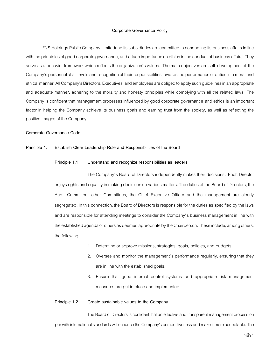#### **Corporate Governance Policy**

FNS Holdings Public Company Limitedand its subsidiaries are committed to conducting its business affairs in line with the principles of good corporate governance, and attach importance on ethics in the conduct of business affairs. They serve as a behavior framework which reflects the organization's values. The main objectives are self-development of the Company's personnel at all levels and recognition of their responsibilities towards the performance of duties in a moral and ethical manner. All Company's Directors, Executives, and employees are obliged toapply such guidelines in an appropriate and adequate manner, adhering to the morality and honesty principles while complying with all the related laws. The Company is confident that management processes influenced by good corporate governance and ethics is an important factor in helping the Company achieve its business goals and earning trust from the society, as well as reflecting the positive images of the Company.

#### **Corporate Governance Code**

#### **Principle 1: Establish Clear Leadership Role and Responsibilities of the Board**

#### **Principle 1.1 Understand and recognize responsibilities as leaders**

The Company's Board of Directors independently makes their decisions. Each Director enjoys rights and equality in making decisions on various matters. The duties of the Board of Directors, the Audit Committee, other Committees, the Chief Executive Officer and the management are clearly segregated. In this connection, the Board of Directors is responsible for the duties as specified by the laws and are responsible for attending meetings to consider the Company's business management in line with the established agenda or others as deemed appropriate by the Chairperson. These include, among others, the following:

- 1. Determine or approve missions, strategies, goals, policies, and budgets.
- 2. Oversee and monitor the management's performance regularly, ensuring that they are in line with the established goals.
- 3. Ensure that good internal control systems and appropriate risk management measures are put in place and implemented.

## **Principle 1.2 Create sustainable values to the Company**

The Board of Directors is confident that an effective and transparent management process on par with international standards will enhance the Company's competitiveness and make it more acceptable. The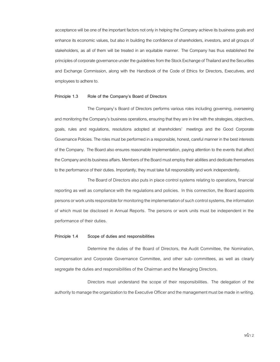acceptance will be one of the important factors not only in helping the Company achieve its business goals and enhance its economic values, but also in building the confidence of shareholders, investors, and all groups of stakeholders, as all of them will be treated in an equitable manner. The Company has thus established the principles of corporate governance under the guidelines from the Stock Exchange of Thailand and the Securities and Exchange Commission, along with the Handbook of the Code of Ethics for Directors, Executives, and employees to adhere to.

#### **Principle 1.3 Role of the Company's Board of Directors**

The Company's Board of Directors performs various roles including governing, overseeing and monitoring the Company's business operations, ensuring that they are in line with the strategies, objectives, goals, rules and regulations, resolutions adopted at shareholders' meetings and the Good Corporate Governance Policies. The roles must be performed in a responsible, honest, careful manner in the best interests of the Company. The Board also ensures reasonable implementation, paying attention to the events that affect the Company and its business affairs. Members of the Board must employ their abilities and dedicate themselves to the performance of their duties. Importantly, they must take full responsibility and work independently.

The Board of Directors also puts in place control systems relating to operations, financial reporting as well as compliance with the regulations and policies. In this connection, the Board appoints persons or work units responsible for monitoring the implementation of such control systems, the information of which must be disclosed in Annual Reports. The persons or work units must be independent in the performance of their duties.

#### **Principle 1.4 Scope of duties and responsibilities**

Determine the duties of the Board of Directors, the Audit Committee, the Nomination, Compensation and Corporate Governance Committee, and other sub-committees, as well as clearly segregate the duties and responsibilities of the Chairman and the Managing Directors.

Directors must understand the scope of their responsibilities. The delegation of the authority to manage the organization to the Executive Officer and the management must be made in writing.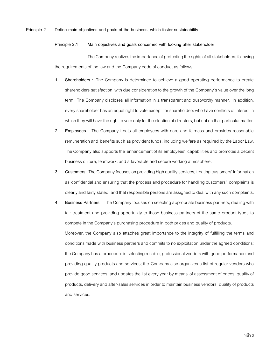# **Principle 2 Define main objectives and goals of the business, which foster sustainability**

#### **Principle 2.1 Main objectives and goals concerned with looking after stakeholder**

The Company realizes the importance of protecting the rights of all stakeholders following the requirements of the law and the Company code of conduct as follows:

- **1. Shareholders** : The Company is determined to achieve a good operating performance to create shareholders satisfaction, with due consideration to the growth of the Company's value over the long term. The Company discloses all information in a transparent and trustworthy manner. In addition, every shareholder has an equal right to vote except for shareholders who have conflicts of interest in which they will have the right to vote only for the election of directors, but not on that particular matter.
- **2. Employees** : The Company treats all employees with care and fairness and provides reasonable remuneration and benefits such as provident funds, including welfare as required by the Labor Law. The Company also supports the enhancement of its employees' capabilities and promotes a decent business culture, teamwork, and a favorable and secure working atmosphere.
- **3. Customers** :The Company focuses on providing high quality services, treating customers' information as confidential and ensuring that the process and procedure for handling customers' complaints is clearly and fairly stated, and that responsible persons are assigned to deal with any such complaints.
- **4. Business Partners** : The Company focuses on selecting appropriate business partners, dealing with fair treatment and providing opportunity to those business partners of the same product types to compete in the Company's purchasing procedure in both prices and quality of products.

Moreover, the Company also attaches great importance to the integrity of fulfilling the terms and conditions made with business partners and commits to no exploitation under the agreed conditions; the Company has a procedure in selecting reliable, professional vendors with good performance and providing quality products and services; the Company also organizes a list of regular vendors who provide good services, and updates the list every year by means of assessment of prices, quality of products, delivery and after-sales services in order to maintain business vendors' quality of products and services.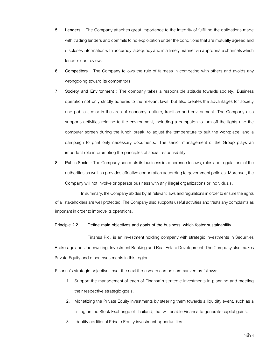- **5. Lenders** : The Company attaches great importance to the integrity of fulfilling the obligations made with trading lenders and commits to no exploitation under the conditions that are mutually agreed and discloses information with accuracy, adequacy and in a timely manner via appropriate channels which lenders can review.
- **6. Competitors** : The Company follows the rule of fairness in competing with others and avoids any wrongdoing toward its competitors.
- **7. Society and Environment** : The company takes a responsible attitude towards society. Business operation not only strictly adheres to the relevant laws, but also creates the advantages for society and public sector in the area of economy, culture, tradition and environment. The Company also supports activities relating to the environment, including a campaign to turn off the lights and the computer screen during the lunch break, to adjust the temperature to suit the workplace, and a campaign to print only necessary documents. The senior management of the Group plays an important role in promoting the principles of social responsibility.
- **8. Public Sector** :The Company conducts its business in adherence to laws, rules and regulations of the authorities as well as provides effective cooperation according to government policies. Moreover, the Company will not involve or operate business with any illegal organizations or individuals.

In summary, the Company abides by all relevant laws and regulations in order to ensure the rights of all stakeholders are well protected. The Company also supports useful activities and treats any complaints as important in order to improve its operations.

# **Principle 2.2 Define main objectives and goals of the business, which foster sustainability**

Finansa Plc. is an investment holding company with strategic investments in Securities Brokerage and Underwriting, Investment Banking and Real Estate Development. The Company also makes Private Equity and other investments in this region.

#### Finansa's strategic objectives over the next three years can be summarized as follows:

- 1. Support the management of each of Finansa's strategic investments in planning and meeting their respective strategic goals.
- 2. Monetizing the Private Equity investments by steering them towards a liquidity event, such as a listing on the Stock Exchange of Thailand, that will enable Finansa to generate capital gains.
- 3. Identify additional Private Equity investment opportunities.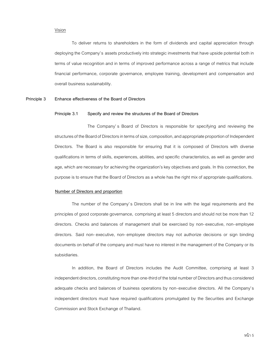#### Vision

To deliver returns to shareholders in the form of dividends and capital appreciation through deploying the Company's assets productively into strategic investments that have upside potential both in terms of value recognition and in terms of improved performance across a range of metrics that include financial performance, corporate governance, employee training, development and compensation and overall business sustainability.

#### **Principle 3 Enhance effectiveness of the Board of Directors**

#### **Principle 3.1 Specify and review the structures of the Board of Directors**

The Company' s Board of Directors is responsible for specifying and reviewing the structures of the Board of Directors in terms of size, composition, and appropriate proportion of Independent Directors. The Board is also responsible for ensuring that it is composed of Directors with diverse qualifications in terms of skills, experiences, abilities, and specific characteristics, as well as gender and age, which are necessary for achieving the organization's key objectives and goals. In this connection, the purpose is to ensure that the Board of Directors as a whole has the right mix of appropriate qualifications.

#### **Number of Directors and proportion**

The number of the Company's Directors shall be in line with the legal requirements and the principles of good corporate governance, comprising at least 5 directors and should not be more than 12 directors. Checks and balances of management shall be exercised by non-executive, non-employee directors. Said non-executive, non-employee directors may not authorize decisions or sign binding documents on behalf of the company and must have no interest in the management of the Company or its subsidiaries.

In addition, the Board of Directors includes the Audit Committee, comprising at least 3 independent directors, constituting more than one-third of the total number of Directors and thus considered adequate checks and balances of business operations by non-executive directors. All the Company's independent directors must have required qualifications promulgated by the Securities and Exchange Commission and Stock Exchange of Thailand.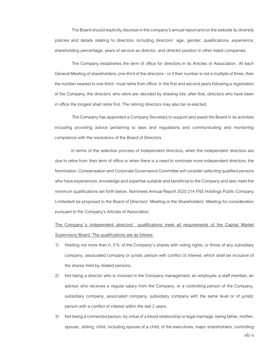The Board should explicitly disclose in the company's annual report and on the websiteits diversity policies and details relating to directors, including directors' age, gender, qualifications, experience, shareholding percentage, years of service as director, and director position in other listed companies.

The Company establishes the term of office for directors in its Articles of Association. At each General Meeting of shareholders, one-third of the directors - or if their number is not a multiple of three, then the number nearest toone-third - must retire from office. In the first and second years following a registration of the Company, the directors who retire are decided by drawing lots; after that, directors who have been in office the longest shall retire first. The retiring directors may also be re-elected.

The Company has appointed a Company Secretary to support and assist the Board in its activities including providing advice pertaining to laws and regulations and communicating and monitoring compliance with the resolutions of the Board of Directors.

In terms of the selection process of independent directors, when the independent directors are due to retire from their term of office or when there is a need to nominate more independent directors, the Nomination, Compensationand Corporate Governance Committee will consider selecting qualified persons who have experiences, knowledge and expertise suitable and beneficial to the Company and also meet the minimum qualifications set forth below. Nominees Annual Report 2020 214 FNS Holdings Public Company Limitedwill be proposed to the Board of Directors' Meeting or the Shareholders' Meeting for consideration pursuant to the Company's Articles of Association.

The Company' s independent directors' qualifications meet all requirements of the Capital Market Supervisory Board. The qualifications are as follows:

- 1) Holding not more than 0 . 5 % of the Company's shares with voting rights, or those of any subsidiary company, associated company or juristic person with conflict of interest, which shall be inclusive of the shares held by related persons.
- 2) Not being a director who is involved in the Company management, an employee, a staff member, an advisor who receives a regular salary from the Company, or a controlling person of the Company, subsidiary company, associated company, subsidiary company with the same level or of juristic person with a conflict of interest within the last 2 years.
- 3) Not being a connected person, by virtue of a blood relationship or legal marriage, being father, mother, spouse, sibling, child, including spouse of a child, of the executives, major shareholders, controlling

หน้า 6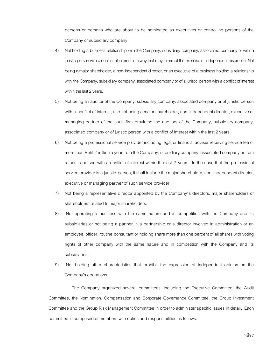persons or persons who are about to be nominated as executives or controlling persons of the Company or subsidiary company.

- 4) Not holding a business relationship with the Company, subsidiary company, associated company or with a juristic person with a conflict of interest in a way that may interrupt the exercise of independent discretion. Not being a major shareholder, a non-independent director, or an executive of a business holding a relationship with the Company, subsidiary company, associated company or of a juristic person with a conflict of interest within the last 2 years.
- 5) Not being an auditor of the Company, subsidiary company, associated company or of juristic person with a conflict of interest, and not being a major shareholder, non-independent director, executive or managing partner of the audit firm providing the auditors of the Company, subsidiary company, associated company or of juristic person with a conflict of interest within the last 2 years.
- 6) Not being a professional service provider including legal or financial adviser receiving service fee of more than Baht 2 million a year from the Company, subsidiary company, associated company or from a juristic person with a conflict of interest within the last 2 years. In the case that the professional service provider is a juristic person, it shall include the major shareholder, non-independent director, executive or managing partner of such service provider.
- 7) Not being a representative director appointed by the Company's directors, major shareholders or shareholders related to major shareholders.
- 8) Not operating a business with the same nature and in competition with the Company and its subsidiaries or not being a partner in a partnership or a director involved in administration or an employee, officer, routine consultant or holding share more than one percent of all shares with voting rights of other company with the same nature and in competition with the Company and its subsidiaries.
- 9) Not holding other characteristics that prohibit the expression of independent opinion on the Company's operations.

The Company organized several committees, including the Executive Committee, the Audit Committee, the Nomination, Compensation and Corporate Governance Committee, the Group Investment Committee and the Group Risk Management Committee in order to administer specific issues in detail. Each committee is composed of members with duties and responsibilities as follows: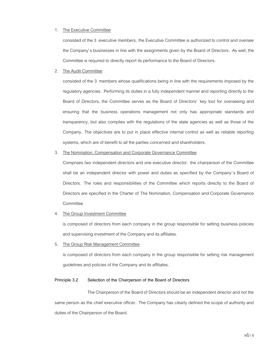# 1. The Executive Committee

consisted of the 3 executive members, the Executive Committee is authorized to control and oversee the Company's businesses in line with the assignments given by the Board of Directors. As well, the Committee is required to directly report its performance to the Board of Directors.

# 2. The Audit Committee

consisted of the 3 members whose qualifications being in line with the requirements imposed by the regulatory agencies. Performing its duties in a fully independent manner and reporting directly to the Board of Directors, the Committee serves as the Board of Directors' key tool for overseeing and ensuring that the business operations management not only has appropriate standards and transparency, but also complies with the regulations of the state agencies as well as those of the Company. The objectives are to put in place effective internal control as well as reliable reporting systems, which are of benefit to all the parties concerned and shareholders.

#### 3. The Nomination, Compensation and Corporate Governance Committee

Comprises two independent directors and one executive director. the chairperson of the Committee shall be an independent director with power and duties as specified by the Company's Board of Directors. The roles and responsibilities of the Committee which reports directly to the Board of Directors are specified in the Charter of The Nomination, Compensation and Corporate Governance Committee

# 4. The Group Investment Committee

is composed of directors from each company in the group responsible for setting business policies and supervising investment of the Company and its affiliates.

#### 5. The Group Risk Management Committee

is composed of directors from each company in the group responsible for setting risk management guidelines and policies of the Company and its affiliates.

#### **Principle 3.2 Selection of the Chairperson of the Board of Directors**

The Chairperson of the Board of Directors should be an independent director and not the same person as the chief executive officer. The Company has clearly defined the scope of authority and duties of the Chairperson of the Board.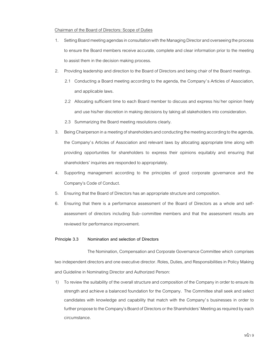# Chairman of the Board of Directors: Scope of Duties

- 1. Setting Board meeting agendas in consultation with the Managing Director and overseeing the process to ensure the Board members receive accurate, complete and clear information prior to the meeting to assist them in the decision making process.
- 2. Providing leadership and direction to the Board of Directors and being chair of the Board meetings.
	- 2.1 Conducting a Board meeting according to the agenda, the Company's Articles of Association, and applicable laws.
	- 2.2 Allocating sufficient time to each Board member to discuss and express his/her opinion freely and use his/her discretion in making decisions by taking all stakeholders into consideration.
	- 2.3 Summarizing the Board meeting resolutions clearly.
- 3. Being Chairperson in a meeting of shareholders and conducting the meeting according to the agenda, the Company's Articles of Association and relevant laws by allocating appropriate time along with providing opportunities for shareholders to express their opinions equitably and ensuring that shareholders' inquiries are responded to appropriately.
- 4. Supporting management according to the principles of good corporate governance and the Company's Code of Conduct.
- 5. Ensuring that the Board of Directors has an appropriate structure and composition.
- 6. Ensuring that there is a performance assessment of the Board of Directors as a whole and selfassessment of directors including Sub-committee members and that the assessment results are reviewed for performance improvement.

# **Principle 3.3 Nomination and selection of Directors**

The Nomination, Compensation and Corporate Governance Committee which comprises two independent directors and one executive director. Roles, Duties, and Responsibilities in Policy Making and Guideline in Nominating Director and Authorized Person:

1) To review the suitability of the overall structure and composition of the Company in order to ensure its strength and achieve a balanced foundation for the Company. The Committee shall seek and select candidates with knowledge and capability that match with the Company's businesses in order to further propose to the Company's Board of Directors or the Shareholders' Meeting as required by each circumstance.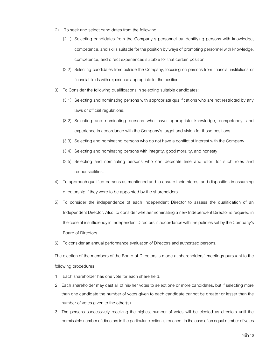- 2) To seek and select candidates from the following:
	- (2.1) Selecting candidates from the Company's personnel by identifying persons with knowledge, competence,and skills suitable for the position by ways of promoting personnel with knowledge, competence, and direct experiences suitable for that certain position.
	- (2.2) Selecting candidates from outside the Company, focusing on persons from financial institutions or financial fields with experience appropriate for the position.
- 3) To Consider the following qualifications in selecting suitable candidates:
	- (3.1) Selecting and nominating persons with appropriate qualifications who are not restricted by any laws or official regulations.
	- (3.2) Selecting and nominating persons who have appropriate knowledge, competency, and experience in accordance with the Company's target and vision for those positions.
	- (3.3) Selecting and nominating persons who do not have a conflict of interest with the Company.
	- (3.4) Selecting and nominating persons with integrity, good morality, and honesty.
	- (3.5) Selecting and nominating persons who can dedicate time and effort for such roles and responsibilities.
- 4) To approach qualified persons as mentioned and to ensure their interest and disposition in assuming directorship if they were to be appointed by the shareholders.
- 5) To consider the independence of each Independent Director to assess the qualification of an Independent Director. Also, to consider whether nominating a new Independent Director is required in the case of insufficiency in Independent Directors in accordance with the policies set by the Company's Board of Directors.
- 6) To consider an annual performance evaluation of Directors and authorized persons.

The election of the members of the Board of Directors is made at shareholders' meetings pursuant to the following procedures:

- 1. Each shareholder has one vote for each share held.
- 2. Each shareholder may cast all of his/her votes to select one or more candidates, but if selecting more than one candidate the number of votes given to each candidate cannot be greater or lesser than the number of votes given to the other(s).
- 3. The persons successively receiving the highest number of votes will be elected as directors until the permissible number of directors in the particular election is reached. In the case of an equal number of votes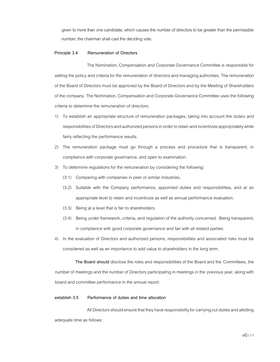given to more than one candidate, which causes the number of directors to be greater than the permissible number, the chairman shall cast the deciding vote.

#### **Principle 3.4 Remuneration of Directors**

The Nomination, Compensation and Corporate Governance Committee is responsible for setting the policy and criteria for the remuneration of directors and managing authorities. The remuneration of the Board of Directors must be approved by the Board of Directors and by the Meeting of Shareholders of the company. The Nomination, Compensationand Corporate Governance Committee uses the following criteria to determine the remuneration of directors:

- 1) To establish an appropriate structure of remuneration packages, taking into account the duties and responsibilities of Directors and authorized personsin order to retain and incentivize appropriately while fairly reflecting the performance results.
- 2) The remuneration package must go through a process and procedure that is transparent, in compliance with corporate governance, and open to examination.
- 3) To determine regulations for the remuneration by considering the following:
	- (3.1) Comparing with companies in peer or similar industries.
	- (3.2) Suitable with the Company performance, appointed duties and responsibilities, and at an appropriate level to retain and incentivize as well as annual performance evaluation.
	- (3.3) Being at a level that is fair to shareholders.
	- (3.4) Being under framework, criteria, and regulation of the authority concerned. Being transparent, in compliance with good corporate governance and fair with all related parties.
- 4) In the evaluation of Directors and authorized persons, responsibilities and associated risks must be considered as well as an importance to add value to shareholders in the long term.

**The Board should** disclose the roles and responsibilities of the Board and the Committees, the number of meetings and the number of Directors participating in meetings in the previous year, along with board and committee performance in the annual report.

## **establish 3.5 Performance of duties and time allocation**

All Directors should ensure that they have responsibility for carrying out duties and allotting adequate time as follows: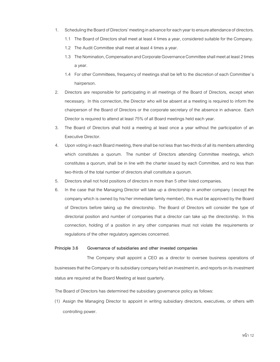- 1. Scheduling the Board of Directors' meeting in advance for each year to ensure attendance of directors.
	- 1.1 The Board of Directors shall meet at least 4 times a year, considered suitable for the Company.
	- 1.2 The Audit Committee shall meet at least 4 times a year.
	- 1.3 The Nomination, Compensation and Corporate Governance Committee shall meet at least 2 times a year.
	- 1.4 For other Committees, frequency of meetings shall be left to the discretion of each Committee's hairperson.
- 2. Directors are responsible for participating in all meetings of the Board of Directors, except when necessary. In this connection, the Director who will be absent at a meeting is required to inform the chairperson of the Board of Directors or the corporate secretary of the absence in advance. Each Director is required to attend at least 75% of all Board meetings held each year.
- 3. The Board of Directors shall hold a meeting at least once a year without the participation of an Executive Director.
- 4. Upon voting in each Board meeting, there shall be not less than two-thirds of all its members attending which constitutes a quorum. The number of Directors attending Committee meetings, which constitutes a quorum, shall be in line with the charter issued by each Committee, and no less than two-thirds of the total number of directors shall constitute a quorum.
- 5. Directors shall not hold positions of directors in more than 5 other listed companies.
- 6. In the case that the Managing Director will take up a directorship in another company (except the company which is owned by his/her immediate family member), this must be approved by the Board of Directors before taking up the directorship. The Board of Directors will consider the type of directorial position and number of companies that a director can take up the directorship. In this connection, holding of a position in any other companies must not violate the requirements or regulations of the other regulatory agencies concerned.

# **Principle 3.6 Governance of subsidiaries and other invested companies**

The Company shall appoint a CEO as a director to oversee business operations of businesses that the Company or its subsidiary company held an investment in, and reports on its investment status are required at the Board Meeting at least quarterly.

The Board of Directors has determined the subsidiary governance policy as follows:

(1) Assign the Managing Director to appoint in writing subsidiary directors, executives, or others with controlling power.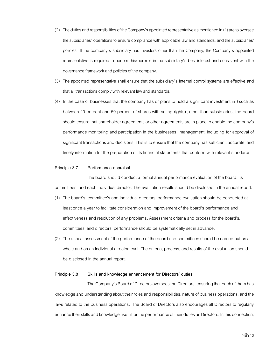- (2) The duties and responsibilities of the Company's appointed representative as mentioned in (1)are to oversee the subsidiaries' operations to ensure compliance with applicable law and standards, and the subsidiaries' policies. If the company's subsidiary has investors other than the Company, the Company's appointed representative is required to perform his/her role in the subsidiary's best interest and consistent with the governance framework and policies of the company.
- (3) The appointed representative shall ensure that the subsidiary's internal control systems are effective and that all transactions comply with relevant law and standards.
- (4) In the case of businesses that the company has or plans to hold a significant investment in (such as between 20 percent and 50 percent of shares with voting rights), other than subsidiaries, the board should ensure that shareholder agreements or other agreements are in place to enable the company's performance monitoring and participation in the businesses' management, including for approval of significant transactions and decisions. This is to ensure that the company has sufficient, accurate, and timely information for the preparation of its financial statements that conform with relevant standards.

# **Principle 3.7 Performance appraisal**

The board should conduct a formal annual performance evaluation of the board, its committees, and each individual director. The evaluation results should be disclosed in the annual report.

- (1) The board's, committee's and individual directors' performance evaluation should beconducted at least once a year to facilitate consideration and improvement of the board's performance and effectiveness and resolution of any problems. Assessment criteria and process for the board's, committees' and directors' performance should be systematically set in advance.
- (2) The annual assessment of the performance of the board and committees should be carried out as a whole and on an individual director level. The criteria, process, and results of the evaluation should be disclosed in the annual report.

## **Principle 3.8 Skills and knowledge enhancement for Directors' duties**

The Company's Board of Directors oversees the Directors, ensuring that each of them has knowledge and understanding about their roles and responsibilities, nature of business operations, and the laws related to the business operations. The Board of Directors also encourages all Directors to regularly enhance their skills and knowledge useful for the performance of their duties as Directors. In this connection,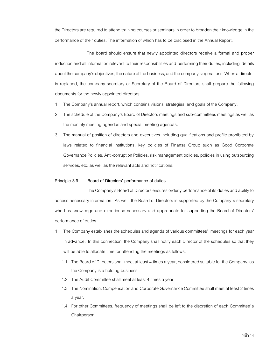the Directors are required to attend training courses or seminars in order to broaden their knowledge in the performance of their duties. The information of which has to be disclosed in the Annual Report.

The board should ensure that newly appointed directors receive a formal and proper induction and all information relevant to their responsibilities and performing their duties, including details about the company's objectives, the nature of the business, and the company's operations. When a director is replaced, the company secretary or Secretary of the Board of Directors shall prepare the following documents for the newly appointed directors:

- 1. The Company's annual report, which contains visions, strategies, and goals of the Company.
- 2. The schedule of the Company's Board of Directors meetings and sub-committees meetings as well as the monthly meeting agendas and special meeting agendas.
- 3. The manual of position of directors and executives including qualifications and profile prohibited by laws related to financial institutions, key policies of Finansa Group such as Good Corporate Governance Policies, Anti-corruption Policies, risk management policies, policies in using outsourcing services, etc. as well as the relevant acts and notifications.

# **Principle 3.9 Board of Directors' performance of duties**

The Company's Board of Directors ensures orderly performance of its duties and ability to access necessary information. As well, the Board of Directors is supported by the Company's secretary who has knowledge and experience necessary and appropriate for supporting the Board of Directors' performance of duties.

- 1. The Company establishes the schedules and agenda of various committees' meetings for each year in advance. In this connection, the Company shall notify each Director of the schedules so that they will be able to allocate time for attending the meetings as follows:
	- 1.1 The Board of Directors shall meet at least 4 times a year, considered suitable for the Company, as the Company is a holding business.
	- 1.2 The Audit Committee shall meet at least 4 times a year.
	- 1.3 The Nomination, Compensation and Corporate Governance Committee shall meet at least 2 times a year.
	- 1.4 For other Committees, frequency of meetings shall be left to the discretion of each Committee's Chairperson.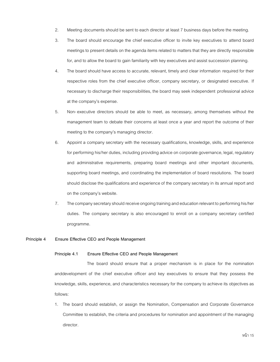- 2. Meeting documents should be sent to each director at least 7 business days before the meeting.
- 3. The board should encourage the chief executive officer to invite key executives to attend board meetings to present details on the agenda items related to matters that they are directly responsible for, and to allow the board to gain familiarity with key executives and assist succession planning.
- 4. The board should have access to accurate, relevant, timely and clear information required for their respective roles from the chief executive officer, company secretary, or designated executive. If necessary to discharge their responsibilities, the board may seek independent professional advice at the company's expense.
- 5. Non-executive directors should be able to meet, as necessary, among themselves without the management team to debate their concerns at least once a year and report the outcome of their meeting to the company's managing director.
- 6. Appoint a company secretary with the necessary qualifications, knowledge, skills, and experience for performing his/her duties, including providing advice on corporate governance, legal, regulatory and administrative requirements, preparing board meetings and other important documents, supporting board meetings, and coordinating the implementation of board resolutions. The board should disclose the qualifications and experience of the company secretary in its annual report and on the company's website.
- 7. The company secretary should receive ongoing training and education relevant to performing his/her duties. The company secretary is also encouraged to enroll on a company secretary certified programme.

# **Principle 4 Ensure Effective CEO and People Management**

# **Principle 4.1 Ensure Effective CEO and People Management**

The board should ensure that a proper mechanism is in place for the nomination anddevelopment of the chief executive officer and key executives to ensure that they possess the knowledge, skills, experience, and characteristics necessary for the company to achieve its objectives as follows:

1. The board should establish, or assign the Nomination, Compensation and Corporate Governance Committee to establish, the criteria and procedures for nomination and appointment of the managing director.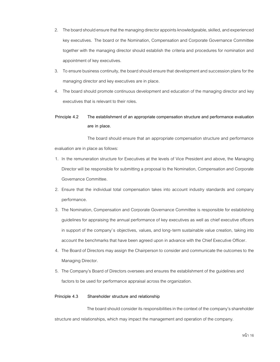- 2. The board should ensure that the managing director appoints knowledgeable, skilled, and experienced key executives. The board or the Nomination, Compensation and Corporate Governance Committee together with the managing director should establish the criteria and procedures for nomination and appointment of key executives.
- 3. To ensure business continuity, the board should ensure that development and succession plans for the managing director and key executives are in place.
- 4. The board should promote continuous development and education of the managing director and key executives that is relevant to their roles.

# **Principle 4.2 The establishment of an appropriate compensation structure and performance evaluation are in place.**

The board should ensure that an appropriate compensation structure and performance evaluation are in place as follows:

- 1. In the remuneration structure for Executives at the levels of Vice President and above, the Managing Director will be responsible for submitting a proposal to the Nomination, Compensation and Corporate Governance Committee.
- 2. Ensure that the individual total compensation takes into account industry standards and company performance.
- 3. The Nomination, Compensation and Corporate Governance Committee is responsible for establishing guidelines for appraising the annual performance of key executives as well as chief executive officers in support of the company's objectives, values, and long-term sustainable value creation, taking into account the benchmarks that have been agreed upon in advance with the Chief Executive Officer.
- 4. The Board of Directors may assign the Chairperson to consider and communicate the outcomes to the Managing Director.
- 5. The Company's Board of Directors oversees and ensures the establishment of the guidelines and factors to be used for performance appraisal across the organization.

# **Principle 4.3 Shareholder structure and relationship**

The board should consider its responsibilities in the context of the company's shareholder structure and relationships, which may impact the management and operation of the company.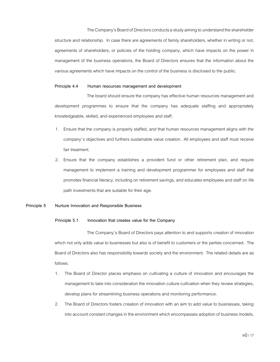The Company's Board of Directors conducts a study aiming to understand the shareholder structure and relationship. In case there are agreements of family shareholders, whether in writing or not, agreements of shareholders, or policies of the holding company, which have impacts on the power in management of the business operations, the Board of Directors ensures that the information about the various agreements which have impacts on the control of the business is disclosed to the public.

#### **Principle 4.4 Human resources management and development**

The board should ensure the company has effective human resources management and development programmes to ensure that the company has adequate staffing and appropriately knowledgeable, skilled, and experienced employees and staff.

- 1. Ensure that the company is properly staffed, and that human resources management aligns with the company's objectives and furthers sustainable value creation. All employees and staff must receive fair treatment.
- 2. Ensure that the company establishes a provident fund or other retirement plan, and require management to implement a training and development programmer for employees and staff that promotes financial literacy, including on retirement savings, and educates employees and staff on life path investments that are suitable for their age.

#### **Principle 5 Nurture Innovation and Responsible Business**

#### **Principle 5.1 Innovation that creates value for the Company**

The Company's Board of Directors pays attention to and supports creation of innovation which not only adds value to businesses but also is of benefit to customers or the parties concerned. The Board of Directors also has responsibility towards society and the environment. The related details are as follows:

- 1. The Board of Director places emphasis on cultivating a culture of innovation and encourages the management to take into consideration the innovation culture cultivation when they review strategies, develop plans for streamlining business operations and monitoring performance.
- 2. The Board of Directors fosters creation of innovation with an aim to add value to businesses, taking into account constant changes in the environment which encompasses adoption of business models,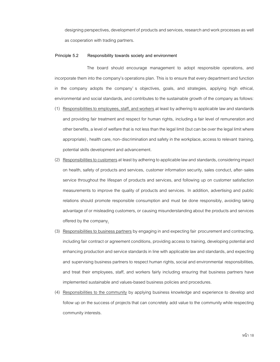designing perspectives, development of products and services, research and work processes as well as cooperation with trading partners.

# **Principle 5.2 Responsibility towards society and environment**

The board should encourage management to adopt responsible operations, and incorporate them into the company's operations plan. This is to ensure that every department and function in the company adopts the company' s objectives, goals, and strategies, applying high ethical, environmental and social standards, and contributes to the sustainable growth of the company as follows:

- (1) Responsibilities to employees, staff, and workers at least by adhering to applicable law and standards and providing fair treatment and respect for human rights, including a fair level of remuneration and other benefits, a level of welfare that is not less than the legal limit (but can be over the legal limit where appropriate), health care, non-discrimination and safety in the workplace, access to relevant training, potential skills development and advancement.
- (2) Responsibilities to customersat least by adhering to applicable law and standards, considering impact on health, safety of products and services, customer information security, sales conduct, after-sales service throughout the lifespan of products and services, and following up on customer satisfaction measurements to improve the quality of products and services. In addition, advertising and public relations should promote responsible consumption and must be done responsibly, avoiding taking advantage of or misleading customers, or causing misunderstanding about the products and services offered by the company.
- (3) Responsibilities to business partners by engaging in and expecting fair procurement and contracting, including fair contract or agreement conditions, providing access to training, developing potential and enhancing production and service standards in line with applicable law and standards, and expecting and supervising business partners to respect human rights, social and environmental responsibilities, and treat their employees, staff, and workers fairly including ensuring that business partners have implemented sustainable and values-based business policies and procedures.
- (4) Responsibilities to the community by applying business knowledge and experience to develop and follow up on the success of projects that can concretely add value to the community while respecting community interests.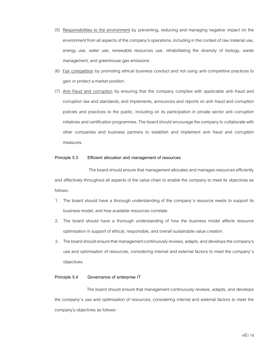- (5) Responsibilities to the environment by preventing, reducing and managing negative impact on the environment from all aspects of the company's operations, including in the context of raw material use, energy use, water use, renewable resources use, rehabilitating the diversity of biology, waste management, and greenhouse gas emissions.
- (6) Fair competition by promoting ethical business conduct and not using anti-competitive practices to gain or protect a market position.
- (7) Anti- fraud and corruption by ensuring that the company complies with applicable anti- fraud and corruption law and standards, and implements, announces and reports on anti-fraud and corruption policies and practices to the public, including on its participation in private sector anti-corruption initiatives and certification programmes. The board should encourage the company to collaborate with other companies and business partners to establish and implement anti- fraud and corruption measures.

#### **Principle 5.3 Efficient allocation and management of resources**

The board should ensure that management allocates and manages resources efficiently and effectively throughout all aspects of the value chain to enable the company to meet its objectives as follows:

- 1. The board should have a thorough understanding of the company's resource needs to support its business model, and how available resources correlate.
- 2. The board should have a thorough understanding of how the business model affects resource optimisation in support of ethical, responsible, and overall sustainable value creation.
- 3. The board should ensure that management continuously reviews, adapts, and develops the company's use and optimisation of resources, considering internal and external factors to meet the company's objectives.

#### **Principle 5.4 Governance of enterprise IT**

The board should ensure that management continuously reviews, adapts, and develops the company's use and optimisation of resources, considering internal and external factors to meet the company's objectives as follows: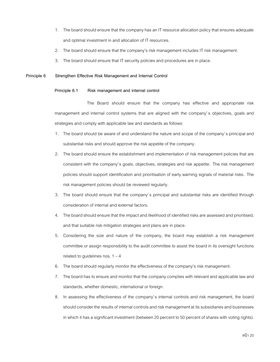- 1. The board should ensure that the company has an IT resource allocation policy that ensures adequate and optimal investment in and allocation of IT resources.
- 2. The board should ensure that the company's risk management includes IT risk management.
- 3. The board should ensure that IT security policies and procedures are in place.

# **Principle 6 Strengthen Effective Risk Management and Internal Control**

## **Principle 6.1 Risk management and internal control**

The Board should ensure that the company has effective and appropriate risk management and internal control systems that are aligned with the company's objectives, goals and strategies and comply with applicable law and standards as follows:

- 1. The board should be aware of and understand the nature and scope of the company's principal and substantial risks and should approve the risk appetite of the company.
- 2. The board should ensure the establishment and implementation of risk management policies that are consistent with the company's goals, objectives, strategies and risk appetite. The risk management policies should support identification and prioritisation of early warning signals of material risks. The risk management policies should be reviewed regularly.
- 3. The board should ensure that the company's principal and substantial risks are identified through consideration of internal and external factors.
- 4. The board should ensure that the impact and likelihood of identified risks are assessed and prioritised, and that suitable risk mitigation strategies and plans are in place.
- 5. Considering the size and nature of the company, the board may establish a risk management committee or assign responsibility to the audit committee to assist the board in its oversight functions related to guidelines nos.  $1 - 4$
- 6. The board should regularly monitor the effectiveness of the company's risk management.
- 7. The board has to ensure and monitor that the company complies with relevant and applicable law and standards, whether domestic, international or foreign.
- 8. In assessing the effectiveness of the company's internal controls and risk management, the board should consider the results of internal controls and risk management at its subsidiaries and businesses in which it has a significant investment (between 20 percent to 50 percent of shares with voting rights).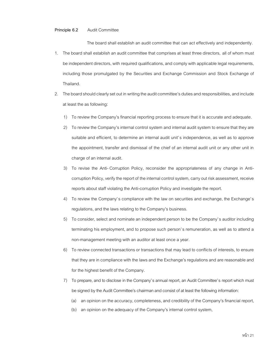# **Principle 6.2** Audit Committee

The board shall establish an audit committee that can act effectively and independently.

- 1. The board shall establish an audit committee that comprises at least three directors, all of whom must be independent directors, with required qualifications, and comply with applicablelegal requirements, including those promulgated by the Securities and Exchange Commission and Stock Exchange of Thailand.
- 2. The board should clearly set out in writing the audit committee's duties and responsibilities, and include at least the as following:
	- 1) To review the Company's financial reporting process to ensure that it is accurate and adequate.
	- 2) To review the Company's internal control system and internal audit system to ensure that they are suitable and efficient, to determine an internal audit unit's independence, as well as to approve the appointment, transfer and dismissal of the chief of an internal audit unit or any other unit in charge of an internal audit.
	- 3) To revise the Anti- Corruption Policy, reconsider the appropriateness of any change in Anticorruption Policy, verify the report of the internal control system, carry out risk assessment, receive reports about staff violating the Anti-corruption Policy and investigate the report.
	- 4) To review the Company's compliance with the law on securities and exchange, the Exchange's regulations, and the laws relating to the Company's business.
	- 5) To consider, select and nominate an independent person to be the Company's auditor including terminating his employment, and to propose such person's remuneration, as well as to attend a non-management meeting with an auditor at least once a year.
	- 6) To review connected transactions or transactions that may lead to conflicts of interests, to ensure that they are in compliance with the laws and the Exchange's regulations and are reasonable and for the highest benefit of the Company.
	- 7) To prepare, and to disclose in the Company's annual report, an Audit Committee's report which must be signed by the Audit Committee's chairman and consist of at least the following information:
		- (a) an opinion on the accuracy, completeness, and credibility of the Company's financial report,
		- (b) an opinion on the adequacy of the Company's internal control system,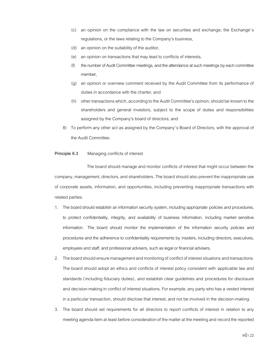- (c) an opinion on the compliance with the law on securities and exchange, the Exchange's regulations, or the laws relating to the Company's business,
- (d) an opinion on the suitability of the auditor,
- (e) an opinion on transactions that may lead to conflicts of interests,
- (f) the number of Audit Committee meetings, and the attendance at such meetings by each committee member,
- (g) an opinion or overview comment received by the Audit Committee from its performance of duties in accordance with the charter, and
- (h) other transactions which, according to the Audit Committee's opinion, should be known to the shareholders and general investors, subject to the scope of duties and responsibilities assigned by the Company's board of directors; and
- 8) To perform any other act as assigned by the Company's Board of Directors, with the approval of the Audit Committee.

# **Principle 6.3** Managing conflicts of interest

The board should manage and monitor conflicts of interest that might occur between the company, management, directors, and shareholders. The board should also prevent the inappropriate use of corporate assets, information, and opportunities, including preventing inappropriate transactions with related parties.

- 1. The board should establish an information security system, including appropriate policies and procedures, to protect confidentiality, integrity, and availability of business information, including market- sensitive information. The board should monitor the implementation of the information security policies and procedures and the adherence to confidentiality requirements by insiders, including directors, executives, employees and staff, and professional advisers, such aslegal or financial advisers.
- 2. The board should ensure management and monitoring of conflict of interest situations and transactions. The board should adopt an ethics and conflicts of interest policy consistent with applicable law and standards (including fiduciary duties), and establish clear guidelines and procedures for disclosure and decision-making in conflict of interest situations. For example, any party who has a vested interest in a particular transaction, should disclose that interest, and not be involved in the decision-making.
- 3. The board should set requirements for all directors to report conflicts of interest in relation to any meeting agenda item at least before consideration of the matter at the meeting and record the reported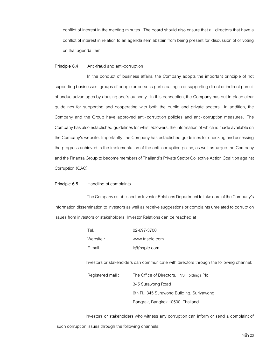conflict of interest in the meeting minutes. The board should also ensure that all directors that have a conflict of interest in relation to an agenda item abstain from being present for discussion of or voting on that agenda item.

#### **Principle 6.4** Anti-fraud and anti-corruption

In the conduct of business affairs, the Company adopts the important principle of not supporting businesses, groups of people or persons participating in or supporting direct or indirect pursuit of undue advantages by abusing one's authority. In this connection, the Company has put in place clear guidelines for supporting and cooperating with both the public and private sectors. In addition, the Company and the Group have approved anti-corruption policies and anti-corruption measures. The Company has also established guidelines for whistleblowers, the information of which is made available on the Company's website. Importantly, the Company has established guidelines for checking and assessing the progress achieved in the implementation of the anti-corruption policy, as well as urged the Company and the Finansa Group to become members of Thailand's Private Sector Collective Action Coalition against Corruption (CAC).

#### **Principle 6.5** Handling of complaints

The Company established an Investor Relations Department to take care of the Company's information dissemination to investors as well as receive suggestions or complaints unrelated to corruption issues from investors or stakeholders. Investor Relations can be reached at

| Tel. :      | 02-697-3700    |
|-------------|----------------|
| Website :   | www.fnsplc.com |
| $F$ -mail : | ir@fnsplc.com  |

Investors or stakeholders can communicate with directors through the following channel:

Registered mail : The Office of Directors, FNS Holdings Plc. 345 Surawong Road 6th Fl., 345 Surawong Building, Suriyawong, Bangrak, Bangkok 10500, Thailand

Investors or stakeholders who witness any corruption can inform or send a complaint of such corruption issues through the following channels: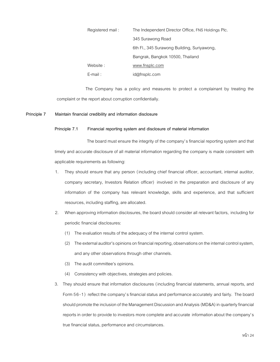| Registered mail: | The Independent Director Office, FNS Holdings Plc. |
|------------------|----------------------------------------------------|
|                  | 345 Surawong Road                                  |
|                  | 6th Fl., 345 Surawong Building, Suriyawong,        |
|                  | Bangrak, Bangkok 10500, Thailand                   |
| Website:         | www.fnsplc.com                                     |
| $E$ -mail:       | id@fnsplc.com                                      |

The Company has a policy and measures to protect a complainant by treating the complaint or the report about corruption confidentially.

# **Principle 7 Maintain financial credibility and information disclosure**

#### **Principle 7.1 Financial reporting system and disclosure of material information**

The board must ensure the integrity of the company's financial reporting system and that timely and accurate disclosure of all material information regarding the company is made consistent with applicable requirements as following:

- 1. They should ensure that any person (including chief financial officer, accountant, internal auditor, company secretary, Investors Relation officer) involved in the preparation and disclosure of any information of the company has relevant knowledge, skills and experience, and that sufficient resources, including staffing, are allocated.
- 2. When approving information disclosures, the board should consider all relevant factors, including for periodic financial disclosures:
	- (1) The evaluation results of the adequacy of the internal control system.
	- (2) The external auditor's opinions on financial reporting, observations on the internal control system, and any other observations through other channels.
	- (3) The audit committee's opinions.
	- (4) Consistency with objectives, strategies and policies.
- 3. They should ensure that information disclosures (including financial statements, annual reports, and Form 56-1) reflect the company's financial status and performance accurately and fairly. The board should promote the inclusion of the Management Discussion and Analysis (MD&A) in quarterly financial reports in order to provide to investors more complete and accurate information about the company's true financial status, performance and circumstances.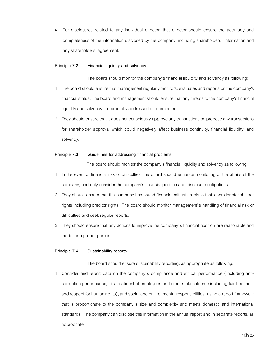4. For disclosures related to any individual director, that director should ensure the accuracy and completeness of the information disclosed by the company, including shareholders' information and any shareholders' agreement.

# **Principle 7.2 Financial liquidity and solvency**

The board should monitor the company's financial liquidity and solvency as following:

- 1. The board should ensure that management regularly monitors, evaluates and reports on the company's financial status. The board and management should ensure that any threats to the company's financial liquidity and solvency are promptly addressed and remedied.
- 2. They should ensure that it does not consciously approve any transactions or propose any transactions for shareholder approval which could negatively affect business continuity, financial liquidity, and solvency.

#### **Principle 7.3 Guidelines for addressing financial problems**

The board should monitor the company's financial liquidity and solvency as following:

- 1. In the event of financial risk or difficulties, the board should enhance monitoring of the affairs of the company, and duly consider the company's financial position and disclosure obligations.
- 2. They should ensure that the company has sound financial mitigation plans that consider stakeholder rights including creditor rights. The board should monitor management's handling of financial risk or difficulties and seek regular reports.
- 3. They should ensure that any actions to improve the company's financial position are reasonable and made for a proper purpose.

#### **Principle 7.4 Sustainability reports**

The board should ensure sustainability reporting, as appropriate as following:

1. Consider and report data on the company's compliance and ethical performance ( including anticorruption performance), its treatment of employees and other stakeholders (including fair treatment and respect for human rights), and social and environmental responsibilities, using a report framework that is proportionate to the company's size and complexity and meets domestic and international standards. The company can disclose this information in the annual report and in separate reports, as appropriate.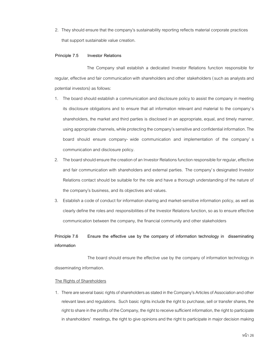2. They should ensure that the company's sustainability reporting reflects material corporate practices that support sustainable value creation.

# **Principle 7.5 Investor Relations**

The Company shall establish a dedicated Investor Relations function responsible for regular, effective and fair communication with shareholders and other stakeholders (such as analysts and potential investors) as follows:

- 1. The board should establish a communication and disclosure policy to assist the company in meeting its disclosure obligations and to ensure that all information relevant and material to the company's shareholders, the market and third parties is disclosed in an appropriate, equal, and timely manner, using appropriate channels, while protecting the company's sensitive and confidential information. The board should ensure company- wide communication and implementation of the company' s communication and disclosure policy.
- 2. The board should ensure the creation of an Investor Relations function responsible for regular, effective and fair communication with shareholders and external parties. The company's designated Investor Relations contact should be suitable for the role and have a thorough understanding of the nature of the company's business, and its objectives and values.
- 3. Establish a code of conduct for information sharing and market-sensitive information policy, as well as clearly define the roles and responsibilities of the Investor Relations function, so as to ensure effective communication between the company, the financial community and other stakeholders

# **Principle 7.6 Ensure the effective use by the company of information technology in disseminating information**

The board should ensure the effective use by the company of information technology in disseminating information.

#### The Rights of Shareholders

1. There are several basic rights of shareholders as stated in the Company's Articles of Association and other relevant laws and regulations. Such basic rights include the right to purchase, sell or transfer shares, the right to share in the profits of the Company, the right to receive sufficient information, the right to participate in shareholders' meetings, the right to give opinions and the right to participate in major decision making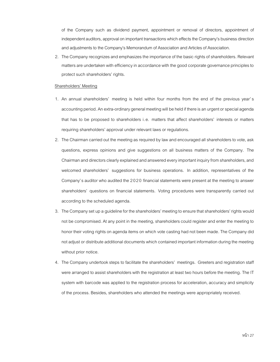of the Company such as dividend payment, appointment or removal of directors, appointment of independent auditors, approval on important transactions which effects the Company's business direction and adjustments to the Company's Memorandum of Association and Articles of Association.

2. The Company recognizes and emphasizes the importance of the basic rights of shareholders. Relevant matters are undertaken with efficiency in accordance with the good corporate governance principles to protect such shareholders' rights.

#### Shareholders' Meeting

- 1. An annual shareholders' meeting is held within four months from the end of the previous year's accounting period. An extra-ordinary general meeting will be held if there is an urgent or special agenda that has to be proposed to shareholders i.e. matters that affect shareholders' interests or matters requiring shareholders' approval under relevant laws or regulations.
- 2. The Chairman carried out the meeting as required by law and encouraged all shareholders to vote, ask questions, express opinions and give suggestions on all business matters of the Company. The Chairman and directors clearly explained and answered every important inquiry from shareholders, and welcomed shareholders' suggestions for business operations. In addition, representatives of the Company's auditor who audited the 2020 financial statements were present at the meeting to answer shareholders' questions on financial statements. Voting procedures were transparently carried out according to the scheduled agenda.
- 3. The Company set up a guideline for the shareholders' meeting to ensure that shareholders' rights would not be compromised. At any point in the meeting, shareholders could register and enter the meeting to honor their voting rights on agenda items on which vote casting had not been made. The Company did not adjust or distribute additional documents which contained important information during the meeting without prior notice.
- 4. The Company undertook steps to facilitate the shareholders' meetings. Greeters and registration staff were arranged to assist shareholders with the registration at least two hours before the meeting. The IT system with barcode was applied to the registration process for acceleration, accuracy and simplicity of the process. Besides, shareholders who attended the meetings were appropriately received.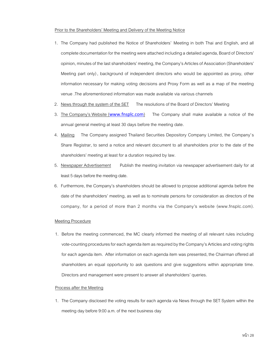#### Prior to the Shareholders' Meeting and Delivery of the Meeting Notice

- 1. The Company had published the Notice of Shareholders' Meeting in both Thai and English, and all complete documentation for the meeting were attached including a detailed agenda, Board of Directors' opinion, minutes of the last shareholders' meeting, the Company's Articles of Association (Shareholders' Meeting part only) , background of independent directors who would be appointed as proxy, other information necessary for making voting decisions and Proxy Form as well as a map of the meeting venue .The aforementioned information was made available via various channels
- 2. News through the system of the SET The resolutions of the Board of Directors' Meeting
- 3. The Company's Website ([www.fnsplc.com](http://www.finansa.com/)) The Company shall make available a notice of the annual general meeting at least 30 days before the meeting date.
- 4. Mailing The Company assigned Thailand Securities Depository Company Limited, the Company's Share Registrar, to send a notice and relevant document to all shareholders prior to the date of the shareholders' meeting at least for a duration required by law.
- 5. Newspaper Advertisement Publish the meeting invitation via newspaper advertisement daily for at least 5 days before the meeting date.
- 6. Furthermore, the Company's shareholders should be allowed to propose additional agenda before the date of the shareholders' meeting, as well as to nominate persons for consideration as directors of the company, for a period of more than 2 months via the Company's website (www.fnsplc.com).

#### Meeting Procedure

1. Before the meeting commenced, the MC clearly informed the meeting of all relevant rules including vote-counting procedures for each agenda item as required by the Company's Articles and voting rights for each agenda item. After information on each agenda item was presented, the Chairman offered all shareholders an equal opportunity to ask questions and give suggestions within appropriate time. Directors and management were present to answer all shareholders' queries.

#### Process after the Meeting

1. The Company disclosed the voting results for each agenda via News through the SET System within the meeting day before 9:00 a.m. of the next business day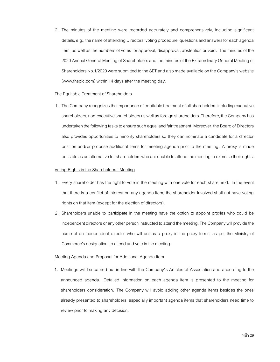2. The minutes of the meeting were recorded accurately and comprehensively, including significant details, e.g., the name of attending Directors, voting procedure, questions and answers for each agenda item, as well as the numbers of votes for approval, disapproval, abstention or void. The minutes of the 2020 Annual General Meeting of Shareholders and the minutes of the Extraordinary General Meeting of Shareholders No.1/2020 were submitted to the SET and also made available on the Company's website (www.fnsplc.com) within 14 days after the meeting day.

#### The Equitable Treatment of Shareholders

1. The Company recognizes the importance of equitable treatment of all shareholders including executive shareholders, non-executive shareholders as well as foreign shareholders. Therefore, the Company has undertaken the following tasks to ensure such equal and fair treatment. Moreover, the Board of Directors also provides opportunities to minority shareholders so they can nominate a candidate for a director position and/or propose additional items for meeting agenda prior to the meeting. A proxy is made possible as an alternative for shareholders who are unable to attend the meeting to exercise their rights:

#### Voting Rights in the Shareholders' Meeting

- 1. Every shareholder has the right to vote in the meeting with one vote for each share held. In the event that there is a conflict of interest on any agenda item, the shareholder involved shall not have voting rights on that item (except for the election of directors).
- 2. Shareholders unable to participate in the meeting have the option to appoint proxies who could be independent directors or any other person instructed to attend the meeting. The Company will provide the name of an independent director who will act as a proxy in the proxy forms, as per the Ministry of Commerce's designation, to attend and vote in the meeting.

#### Meeting Agenda and Proposal for Additional Agenda Item

1. Meetings will be carried out in line with the Company's Articles of Association and according to the announced agenda. Detailed information on each agenda item is presented to the meeting for shareholders consideration. The Company will avoid adding other agenda items besides the ones already presented to shareholders, especially important agenda items that shareholders need time to review prior to making any decision.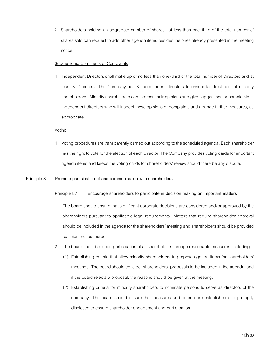2. Shareholders holding an aggregate number of shares not less than one-third of the total number of shares sold can request to add other agenda items besides the ones already presented in the meeting notice.

# Suggestions, Comments or Complaints

1. Independent Directors shall make up of no less than one-third of the total number of Directors and at least 3 Directors. The Company has 3 independent directors to ensure fair treatment of minority shareholders. Minority shareholders can express their opinions and give suggestions or complaints to independent directors who will inspect these opinions or complaints and arrange further measures, as appropriate.

### Voting

1. Voting procedures are transparently carried out according to the scheduled agenda. Each shareholder has the right to vote for the election of each director. The Company provides voting cards for important agenda items and keeps the voting cards for shareholders' review should there be any dispute.

# **Principle 8 Promote participation of and communication with shareholders**

# **Principle 8.1 Encourage shareholders to participate in decision making on important matters**

- 1. The board should ensure that significant corporate decisions are considered and/or approved by the shareholders pursuant to applicable legal requirements. Matters that require shareholder approval should be included in the agenda for the shareholders' meeting and shareholders should be provided sufficient notice thereof.
- 2. The board should support participation of all shareholders through reasonable measures, including:
	- (1) Establishing criteria that allow minority shareholders to propose agenda items for shareholders' meetings. The board should consider shareholders' proposals to be included in the agenda, and if the board rejects a proposal, the reasons should be given at the meeting.
	- (2) Establishing criteria for minority shareholders to nominate persons to serve as directors of the company. The board should ensure that measures and criteria are established and promptly disclosed to ensure shareholder engagement and participation.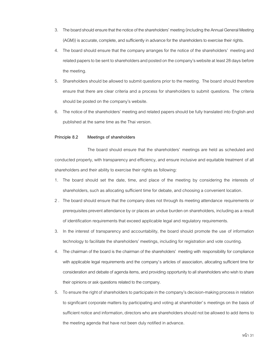- 3. The board should ensure that the notice of the shareholders' meeting (including the Annual General Meeting (AGM)) is accurate, complete, and sufficiently in advance for the shareholders to exercise their rights.
- 4. The board should ensure that the company arranges for the notice of the shareholders' meeting and related papers to be sent to shareholders and posted on the company's website at least28 days before the meeting.
- 5. Shareholders should be allowed to submit questions prior to the meeting. The board should therefore ensure that there are clear criteria and a process for shareholders to submit questions. The criteria should be posted on the company's website.
- 6. The notice of the shareholders' meeting and related papers should be fully translated into English and published at the same time as the Thai version.

# **Principle 8.2 Meetings of shareholders**

The board should ensure that the shareholders' meetings are held as scheduled and conducted properly, with transparency and efficiency, and ensure inclusive and equitable treatment of all shareholders and their ability to exercise their rights as following:

- 1. The board should set the date, time, and place of the meeting by considering the interests of shareholders, such as allocating sufficient time for debate, and choosing a convenient location.
- 2 . The board should ensure that the company does not through its meeting attendance requirements or prerequisites prevent attendance by or places an undue burden on shareholders, including as a result of identification requirements that exceed applicable legal and regulatory requirements.
- 3. In the interest of transparency and accountability, the board should promote the use of information technology to facilitate the shareholders' meetings, including for registration and vote counting.
- 4. The chairman of the board is the chairman of the shareholders' meeting with responsibility for compliance with applicable legal requirements and the company's articles of association, allocating sufficient time for consideration and debate of agenda items, and providing opportunity to all shareholders who wish to share their opinions or ask questions related to the company.
- 5. To ensure the right of shareholders to participate in the company's decision-making process in relation to significant corporate matters by participating and voting at shareholder's meetings on the basis of sufficient notice and information, directors who are shareholdersshould not be allowed to add items to the meeting agenda that have not been duly notified in advance.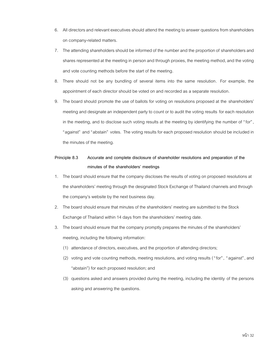- 6. All directors and relevant executives should attend the meeting to answer questionsfrom shareholders on company-related matters.
- 7. The attending shareholders should be informed of the number and the proportion of shareholders and shares represented at the meeting in person and through proxies, the meeting method, and the voting and vote counting methods before the start of the meeting.
- 8. There should not be any bundling of several items into the same resolution. For example, the appointment of each director should be voted on and recorded as a separate resolution.
- 9. The board should promote the use of ballots for voting on resolutions proposed at the shareholders' meeting and designate an independent party to count or to audit the voting results for each resolution in the meeting, and to disclose such voting results at the meeting by identifying the number of "for", "against" and "abstain" votes. The voting results for each proposed resolution should be included in the minutes of the meeting.

# **Principle 8.3 Accurate and complete disclosure of shareholder resolutions and preparation of the minutes of the shareholders' meetings**

- 1. The board should ensure that the company discloses the results of voting on proposed resolutions at the shareholders' meeting through the designated Stock Exchange of Thailand channels and through the company's website by the next business day.
- 2. The board should ensure that minutes of the shareholders' meeting are submitted to the Stock Exchange of Thailand within 14 days from the shareholders' meeting date.
- 3. The board should ensure that the company promptly prepares the minutes of the shareholders' meeting, including the following information:
	- (1) attendance of directors, executives, and the proportion of attending directors;
	- (2) voting and vote counting methods, meeting resolutions, and voting results ( "for", "against", and "abstain") for each proposed resolution; and
	- (3) questions asked and answers provided during the meeting, including the identity of the persons asking and answering the questions.